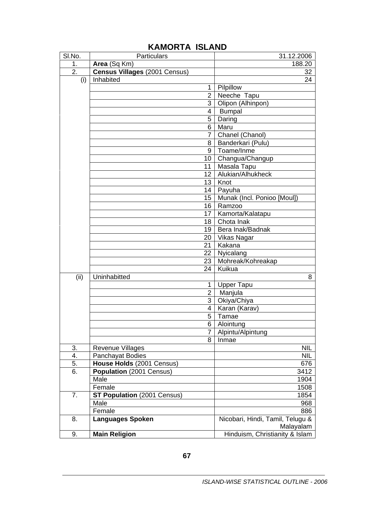| SI.No.           | <b>Particulars</b>                   | 31.12.2006                                    |
|------------------|--------------------------------------|-----------------------------------------------|
| 1.               | Area (Sq Km)                         | 188.20                                        |
| $\overline{2}$ . | <b>Census Villages (2001 Census)</b> | 32                                            |
| (i)              | Inhabited                            | 24                                            |
|                  | 1                                    | Pilpillow                                     |
|                  |                                      | $\overline{2}$ Neeche Tapu                    |
|                  | 3 <sup>1</sup>                       | Olipon (Alhinpon)                             |
|                  | 4                                    | <b>Bumpal</b>                                 |
|                  | 5                                    | Daring                                        |
|                  | 6                                    | Maru                                          |
|                  | $\overline{7}$                       | Chanel (Chanol)                               |
|                  | 8                                    | Banderkari (Pulu)                             |
|                  |                                      | 9   Toame/Inme                                |
|                  |                                      | 10 Changua/Changup                            |
|                  | 11                                   | Masala Tapu                                   |
|                  | 12                                   | Alukian/Alhukheck                             |
|                  | 13 <sup>2</sup>                      | Knot                                          |
|                  | 14                                   | Payuha                                        |
|                  | 15                                   | Munak (Incl. Ponioo [Moul])                   |
|                  | 16                                   | Ramzoo                                        |
|                  | 17                                   | Kamorta/Kalatapu                              |
|                  |                                      | 18 Chota Inak                                 |
|                  | 19                                   | Bera Inak/Badnak                              |
|                  | 20                                   | Vikas Nagar                                   |
|                  | 21                                   | Kakana                                        |
|                  | 22                                   | Nyicalang                                     |
|                  | 23                                   | Mohreak/Kohreakap                             |
|                  | 24                                   | Kuikua                                        |
| (ii)             | Uninhabitted                         | 8                                             |
|                  | 1                                    | Upper Tapu                                    |
|                  | $\overline{2}$                       | Manjula                                       |
|                  | 3                                    | Okiya/Chiya                                   |
|                  | 4                                    | Karan (Karav)                                 |
|                  | 5                                    | Tamae                                         |
|                  | 6                                    | Alointung                                     |
|                  | $\overline{7}$                       | Alpintu/Alpintung                             |
|                  | 8                                    | Inmae                                         |
| 3.               | <b>Revenue Villages</b>              | NIL.                                          |
| 4.               | Panchayat Bodies                     | <b>NIL</b>                                    |
| 5.               | House Holds (2001 Census)            | 676                                           |
| 6.               | Population (2001 Census)             | 3412                                          |
|                  | Male                                 | 1904                                          |
|                  | Female                               | 1508                                          |
| 7.               | ST Population (2001 Census)          | 1854                                          |
|                  | Male                                 | 968                                           |
|                  | Female                               | 886                                           |
| 8.               | <b>Languages Spoken</b>              | Nicobari, Hindi, Tamil, Telugu &<br>Malayalam |
| 9.               | <b>Main Religion</b>                 | Hinduism, Christianity & Islam                |

## **KAMORTA ISLAND**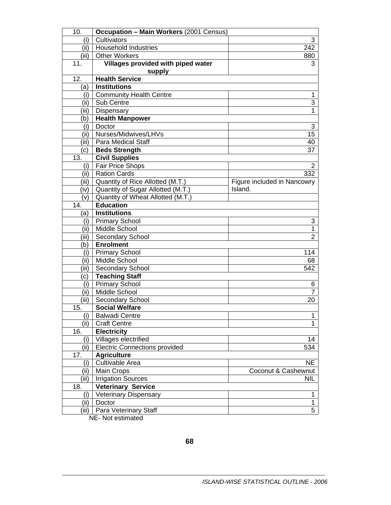| 10.          | <b>Occupation - Main Workers (2001 Census)</b> |                             |
|--------------|------------------------------------------------|-----------------------------|
| (i)          | Cultivators                                    | 3                           |
| (ii) $\vert$ | <b>Household Industries</b>                    | 242                         |
| (iii)        | <b>Other Workers</b>                           | 880                         |
| 11.          | Villages provided with piped water<br>supply   | 3                           |
| 12.          | <b>Health Service</b>                          |                             |
| (a)          | <b>Institutions</b>                            |                             |
| (i)          | <b>Community Health Centre</b>                 | 1                           |
| (ii)         | Sub Centre                                     | $\overline{3}$              |
| (iii)        | Dispensary                                     | 1                           |
| (b)          | <b>Health Manpower</b>                         |                             |
| (i)          | Doctor                                         | 3                           |
| (ii)         | Nurses/Midwives/LHVs                           | $\overline{15}$             |
| (iii)        | <b>Para Medical Staff</b>                      | 40                          |
| (c)          | <b>Beds Strength</b>                           | 37                          |
| 13.          | <b>Civil Supplies</b>                          |                             |
| (i)          | <b>Fair Price Shops</b>                        | $\overline{2}$              |
| (iii)        | <b>Ration Cards</b>                            | 332                         |
| (iii)        | Quantity of Rice Allotted (M.T.)               | Figure included in Nancowry |
| (iv)         | Quantity of Sugar Allotted (M.T.)              | Island.                     |
| (v)          | Quantity of Wheat Allotted (M.T.)              |                             |
| 14.          | <b>Education</b>                               |                             |
| (a)          | <b>Institutions</b>                            |                             |
| (i)          | <b>Primary School</b>                          | 3                           |
| (ii)         | Middle School                                  | $\mathbf{1}$                |
| (iii)        | Secondary School                               | $\overline{2}$              |
| (b)          | <b>Enrolment</b>                               |                             |
| (i)          | <b>Primary School</b>                          | 114                         |
| (ii)         | Middle School                                  | 68                          |
| (iii)        | Secondary School                               | 542                         |
| C)           | <b>Teaching Staff</b>                          |                             |
| (i)          | <b>Primary School</b>                          | 6                           |
| (ii)         | Middle School                                  | 7                           |
| (iii)        | Secondary School                               | 20                          |
| 15.          | <b>Social Welfare</b>                          |                             |
| (i)          | <b>Balwadi Centre</b>                          | 1                           |
| (ii)         | <b>Craft Centre</b>                            | $\mathbf{1}$                |
| 16.          | <b>Electricity</b>                             |                             |
| (i)          | Villages electrified                           | 14                          |
| (ii)         | <b>Electric Connections provided</b>           | 534                         |
| 17.          | <b>Agriculture</b>                             |                             |
| (i)          | Cultivable Area                                | <b>NE</b>                   |
| (ii)         | <b>Main Crops</b>                              | Coconut & Cashewnut         |
| (iii)        | <b>Irrigation Sources</b>                      | <b>NIL</b>                  |
| 18.          | <b>Veterinary Service</b>                      |                             |
| (i)          | <b>Veterinary Dispensary</b>                   | 1                           |
| (ii)         | Doctor                                         | $\mathbf{1}$                |
| (iii)        | Para Veterinary Staff                          | 5                           |
|              | NE- Not estimated                              |                             |